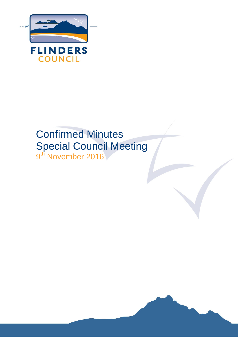

# Confirmed Minutes Special Council Meeting 9<sup>th</sup> November 2016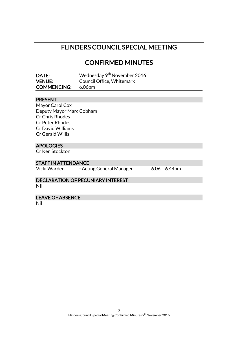## FLINDERS COUNCIL SPECIAL MEETING

## CONFIRMED MINUTES

| DATE:              | Wednesday 9 <sup>th</sup> November 2016 |
|--------------------|-----------------------------------------|
| <b>VENUE:</b>      | Council Office, Whitemark               |
| <b>COMMENCING:</b> | 6.06pm                                  |

#### PRESENT

Mayor Carol Cox Deputy Mayor Marc Cobham Cr Chris Rhodes Cr Peter Rhodes Cr David Williams Cr Gerald Willis

#### **APOLOGIES**

Cr Ken Stockton

#### STAFF IN ATTENDANCE

Vicki Warden - Acting General Manager 6.06 - 6.44pm

#### DECLARATION OF PECUNIARY INTEREST Nil

LEAVE OF ABSENCE

Nil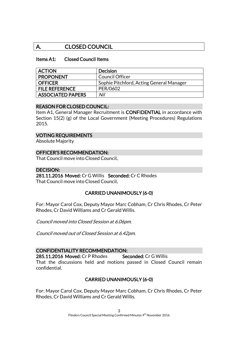### A. CLOSED COUNCIL

#### Items A1: Closed Council Items

| <b>ACTION</b>            | <b>Decision</b>                          |
|--------------------------|------------------------------------------|
| <b>PROPONENT</b>         | <b>Council Officer</b>                   |
| <b>OFFICER</b>           | Sophie Pitchford, Acting General Manager |
| <b>FILE REFERENCE</b>    | PER/0602                                 |
| <b>ASSOCIATED PAPERS</b> | Nil                                      |

#### REASON FOR CLOSED COUNCIL:

Item A1, General Manager Recruitment is CONFIDENTIAL in accordance with Section 15(2) (g) of the Local Government (Meeting Procedures) Regulations 2015.

#### VOTING REQUIREMENTS

Absolute Majority

#### OFFICER'S RECOMMENDATION:

That Council move into Closed Council.

#### DECISION:

281.11.2016 Moved: Cr G Willis Seconded: Cr C Rhodes That Council move into Closed Council.

#### CARRIED UNANIMOUSLY (6-0)

For: Mayor Carol Cox, Deputy Mayor Marc Cobham, Cr Chris Rhodes, Cr Peter Rhodes, Cr David Williams and Cr Gerald Willis.

Council moved into Closed Session at 6.06pm.

Council moved out of Closed Session at 6.42pm.

#### CONFIDENTIALITY RECOMMENDATION:

285.11.2016 Moved: Cr P Rhodes Seconded: Cr G Willis That the discussions held and motions passed in Closed Council remain confidential.

#### CARRIED UNANIMOUSLY (6-0)

For: Mayor Carol Cox, Deputy Mayor Marc Cobham, Cr Chris Rhodes, Cr Peter Rhodes, Cr David Williams and Cr Gerald Willis.